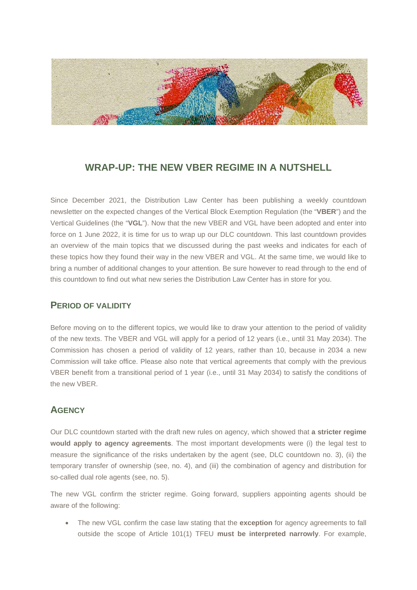

# **WRAP-UP: THE NEW VBER REGIME IN A NUTSHELL**

Since December 2021, the Distribution Law Center has been publishing a weekly countdown newsletter on the expected changes of the Vertical Block Exemption Regulation (the "**VBER**") and the Vertical Guidelines (the "**VGL**"). Now that the new VBER and VGL have been adopted and enter into force on 1 June 2022, it is time for us to wrap up our DLC countdown. This last countdown provides an overview of the main topics that we discussed during the past weeks and indicates for each of these topics how they found their way in the new VBER and VGL. At the same time, we would like to bring a number of additional changes to your attention. Be sure however to read through to the end of this countdown to find out what new series the Distribution Law Center has in store for you.

#### **PERIOD OF VALIDITY**

Before moving on to the different topics, we would like to draw your attention to the period of validity of the new texts. The VBER and VGL will apply for a period of 12 years (i.e., until 31 May 2034). The Commission has chosen a period of validity of 12 years, rather than 10, because in 2034 a new Commission will take office. Please also note that vertical agreements that comply with the previous VBER benefit from a transitional period of 1 year (i.e., until 31 May 2034) to satisfy the conditions of the new VBER.

### **AGENCY**

Our DLC countdown started with the draft new rules on agency, which showed that **a stricter regime would apply to agency agreements**. The most important developments were (i) the legal test to measure the significance of the risks undertaken by the agent (see, DLC countdown no. 3), (ii) the temporary transfer of ownership (see, no. 4), and (iii) the combination of agency and distribution for so-called dual role agents (see, no. 5).

The new VGL confirm the stricter regime. Going forward, suppliers appointing agents should be aware of the following:

• The new VGL confirm the case law stating that the **exception** for agency agreements to fall outside the scope of Article 101(1) TFEU **must be interpreted narrowly**. For example,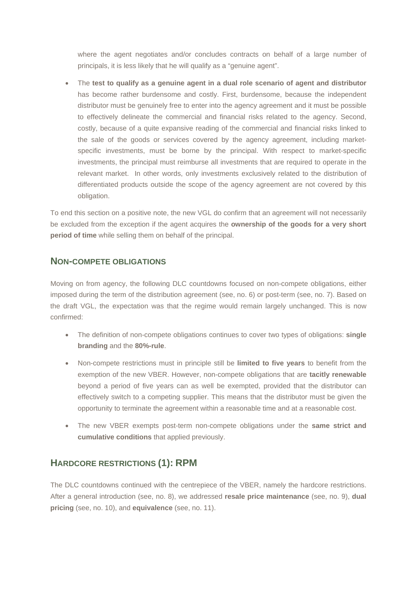where the agent negotiates and/or concludes contracts on behalf of a large number of principals, it is less likely that he will qualify as a "genuine agent".

• The **test to qualify as a genuine agent in a dual role scenario of agent and distributor** has become rather burdensome and costly. First, burdensome, because the independent distributor must be genuinely free to enter into the agency agreement and it must be possible to effectively delineate the commercial and financial risks related to the agency. Second, costly, because of a quite expansive reading of the commercial and financial risks linked to the sale of the goods or services covered by the agency agreement, including marketspecific investments, must be borne by the principal. With respect to market-specific investments, the principal must reimburse all investments that are required to operate in the relevant market. In other words, only investments exclusively related to the distribution of differentiated products outside the scope of the agency agreement are not covered by this obligation.

To end this section on a positive note, the new VGL do confirm that an agreement will not necessarily be excluded from the exception if the agent acquires the **ownership of the goods for a very short period of time** while selling them on behalf of the principal.

#### **NON-COMPETE OBLIGATIONS**

Moving on from agency, the following DLC countdowns focused on non-compete obligations, either imposed during the term of the distribution agreement (see, no. 6) or post-term (see, no. 7). Based on the draft VGL, the expectation was that the regime would remain largely unchanged. This is now confirmed:

- The definition of non-compete obligations continues to cover two types of obligations: **single branding** and the **80%-rule**.
- Non-compete restrictions must in principle still be **limited to five years** to benefit from the exemption of the new VBER. However, non-compete obligations that are **tacitly renewable** beyond a period of five years can as well be exempted, provided that the distributor can effectively switch to a competing supplier. This means that the distributor must be given the opportunity to terminate the agreement within a reasonable time and at a reasonable cost.
- The new VBER exempts post-term non-compete obligations under the **same strict and cumulative conditions** that applied previously.

## **HARDCORE RESTRICTIONS (1): RPM**

The DLC countdowns continued with the centrepiece of the VBER, namely the hardcore restrictions. After a general introduction (see, no. 8), we addressed **resale price maintenance** (see, no. 9), **dual pricing** (see, no. 10), and **equivalence** (see, no. 11).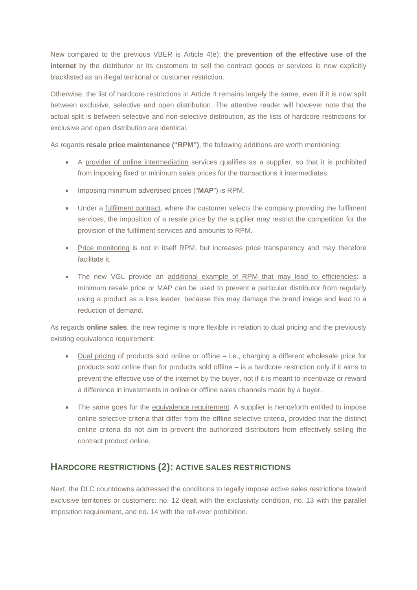New compared to the previous VBER is Article 4(e): the **prevention of the effective use of the internet** by the distributor or its customers to sell the contract goods or services is now explicitly blacklisted as an illegal territorial or customer restriction.

Otherwise, the list of hardcore restrictions in Article 4 remains largely the same, even if it is now split between exclusive, selective and open distribution. The attentive reader will however note that the actual split is between selective and non-selective distribution, as the lists of hardcore restrictions for exclusive and open distribution are identical.

As regards **resale price maintenance ("RPM")**, the following additions are worth mentioning:

- A provider of online intermediation services qualifies as a supplier, so that it is prohibited from imposing fixed or minimum sales prices for the transactions it intermediates.
- Imposing minimum advertised prices ("**MAP**") is RPM.
- Under a *fulfilment contract*, where the customer selects the company providing the fulfilment services, the imposition of a resale price by the supplier may restrict the competition for the provision of the fulfilment services and amounts to RPM.
- Price monitoring is not in itself RPM, but increases price transparency and may therefore facilitate it.
- The new VGL provide an additional example of RPM that may lead to efficiencies: a minimum resale price or MAP can be used to prevent a particular distributor from regularly using a product as a loss leader, because this may damage the brand image and lead to a reduction of demand.

As regards **online sales**, the new regime is more flexible in relation to dual pricing and the previously existing equivalence requirement:

- Dual pricing of products sold online or offline i.e., charging a different wholesale price for products sold online than for products sold offline – is a hardcore restriction only if it aims to prevent the effective use of the internet by the buyer, not if it is meant to incentivize or reward a difference in investments in online or offline sales channels made by a buyer.
- The same goes for the equivalence requirement. A supplier is henceforth entitled to impose online selective criteria that differ from the offline selective criteria, provided that the distinct online criteria do not aim to prevent the authorized distributors from effectively selling the contract product online.

## **HARDCORE RESTRICTIONS (2): ACTIVE SALES RESTRICTIONS**

Next, the DLC countdowns addressed the conditions to legally impose active sales restrictions toward exclusive territories or customers: no. 12 dealt with the exclusivity condition, no. 13 with the parallel imposition requirement, and no. 14 with the roll-over prohibition.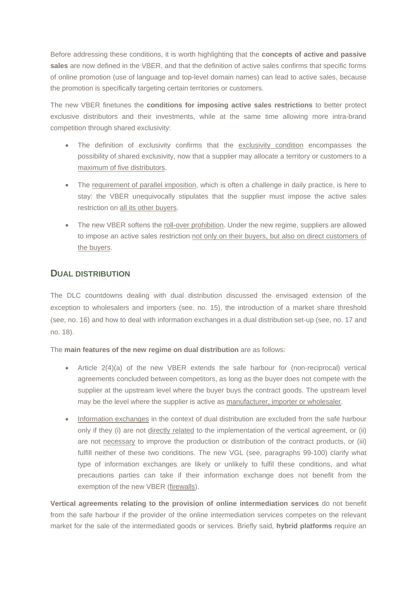Before addressing these conditions, it is worth highlighting that the **concepts of active and passive**  sales are now defined in the VBER, and that the definition of active sales confirms that specific forms of online promotion (use of language and top-level domain names) can lead to active sales, because the promotion is specifically targeting certain territories or customers.

The new VBER finetunes the **conditions for imposing active sales restrictions** to better protect exclusive distributors and their investments, while at the same time allowing more intra-brand competition through shared exclusivity:

- The definition of exclusivity confirms that the exclusivity condition encompasses the possibility of shared exclusivity, now that a supplier may allocate a territory or customers to a maximum of five distributors.
- The requirement of parallel imposition, which is often a challenge in daily practice, is here to stay: the VBER unequivocally stipulates that the supplier must impose the active sales restriction on all its other buyers.
- The new VBER softens the roll-over prohibition. Under the new regime, suppliers are allowed to impose an active sales restriction not only on their buyers, but also on direct customers of the buyers.

### **DUAL DISTRIBUTION**

The DLC countdowns dealing with dual distribution discussed the envisaged extension of the exception to wholesalers and importers (see. no. 15), the introduction of a market share threshold (see, no. 16) and how to deal with information exchanges in a dual distribution set-up (see, no. 17 and no. 18).

The **main features of the new regime on dual distribution** are as follows:

- Article  $2(4)(a)$  of the new VBER extends the safe harbour for (non-reciprocal) vertical agreements concluded between competitors, as long as the buyer does not compete with the supplier at the upstream level where the buyer buys the contract goods. The upstream level may be the level where the supplier is active as manufacturer, importer or wholesaler.
- Information exchanges in the context of dual distribution are excluded from the safe harbour only if they (i) are not directly related to the implementation of the vertical agreement, or (ii) are not necessary to improve the production or distribution of the contract products, or (iii) fulfill neither of these two conditions. The new VGL (see, paragraphs 99-100) clarify what type of information exchanges are likely or unlikely to fulfil these conditions, and what precautions parties can take if their information exchange does not benefit from the exemption of the new VBER (firewalls).

**Vertical agreements relating to the provision of online intermediation services** do not benefit from the safe harbour if the provider of the online intermediation services competes on the relevant market for the sale of the intermediated goods or services. Briefly said, **hybrid platforms** require an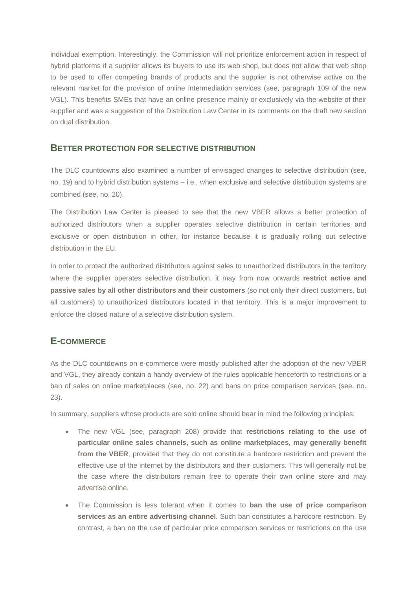individual exemption. Interestingly, the Commission will not prioritize enforcement action in respect of hybrid platforms if a supplier allows its buyers to use its web shop, but does not allow that web shop to be used to offer competing brands of products and the supplier is not otherwise active on the relevant market for the provision of online intermediation services (see, paragraph 109 of the new VGL). This benefits SMEs that have an online presence mainly or exclusively via the website of their supplier and was a suggestion of the Distribution Law Center in its comments on the draft new section on dual distribution.

#### **BETTER PROTECTION FOR SELECTIVE DISTRIBUTION**

The DLC countdowns also examined a number of envisaged changes to selective distribution (see, no. 19) and to hybrid distribution systems – i.e., when exclusive and selective distribution systems are combined (see, no. 20).

The Distribution Law Center is pleased to see that the new VBER allows a better protection of authorized distributors when a supplier operates selective distribution in certain territories and exclusive or open distribution in other, for instance because it is gradually rolling out selective distribution in the EU.

In order to protect the authorized distributors against sales to unauthorized distributors in the territory where the supplier operates selective distribution, it may from now onwards **restrict active and passive sales by all other distributors and their customers** (so not only their direct customers, but all customers) to unauthorized distributors located in that territory. This is a major improvement to enforce the closed nature of a selective distribution system.

### **E-COMMERCE**

As the DLC countdowns on e-commerce were mostly published after the adoption of the new VBER and VGL, they already contain a handy overview of the rules applicable henceforth to restrictions or a ban of sales on online marketplaces (see, no. 22) and bans on price comparison services (see, no. 23).

In summary, suppliers whose products are sold online should bear in mind the following principles:

- The new VGL (see, paragraph 208) provide that **restrictions relating to the use of particular online sales channels, such as online marketplaces, may generally benefit from the VBER**, provided that they do not constitute a hardcore restriction and prevent the effective use of the internet by the distributors and their customers. This will generally not be the case where the distributors remain free to operate their own online store and may advertise online.
- The Commission is less tolerant when it comes to **ban the use of price comparison services as an entire advertising channel**. Such ban constitutes a hardcore restriction. By contrast, a ban on the use of particular price comparison services or restrictions on the use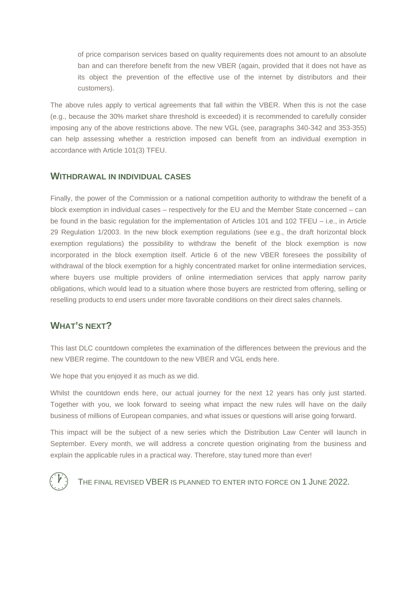of price comparison services based on quality requirements does not amount to an absolute ban and can therefore benefit from the new VBER (again, provided that it does not have as its object the prevention of the effective use of the internet by distributors and their customers).

The above rules apply to vertical agreements that fall within the VBER. When this is not the case (e.g., because the 30% market share threshold is exceeded) it is recommended to carefully consider imposing any of the above restrictions above. The new VGL (see, paragraphs 340-342 and 353-355) can help assessing whether a restriction imposed can benefit from an individual exemption in accordance with Article 101(3) TFEU.

#### **WITHDRAWAL IN INDIVIDUAL CASES**

Finally, the power of the Commission or a national competition authority to withdraw the benefit of a block exemption in individual cases – respectively for the EU and the Member State concerned – can be found in the basic regulation for the implementation of Articles 101 and 102 TFEU – i.e., in Article 29 Regulation 1/2003. In the new block exemption regulations (see e.g., the draft horizontal block exemption regulations) the possibility to withdraw the benefit of the block exemption is now incorporated in the block exemption itself. Article 6 of the new VBER foresees the possibility of withdrawal of the block exemption for a highly concentrated market for online intermediation services, where buyers use multiple providers of online intermediation services that apply narrow parity obligations, which would lead to a situation where those buyers are restricted from offering, selling or reselling products to end users under more favorable conditions on their direct sales channels.

### **WHAT'S NEXT?**

This last DLC countdown completes the examination of the differences between the previous and the new VBER regime. The countdown to the new VBER and VGL ends here.

We hope that you enjoyed it as much as we did.

Whilst the countdown ends here, our actual journey for the next 12 years has only just started. Together with you, we look forward to seeing what impact the new rules will have on the daily business of millions of European companies, and what issues or questions will arise going forward.

This impact will be the subject of a new series which the Distribution Law Center will launch in September. Every month, we will address a concrete question originating from the business and explain the applicable rules in a practical way. Therefore, stay tuned more than ever!



THE FINAL REVISED VBER IS PLANNED TO ENTER INTO FORCE ON 1 JUNE 2022.